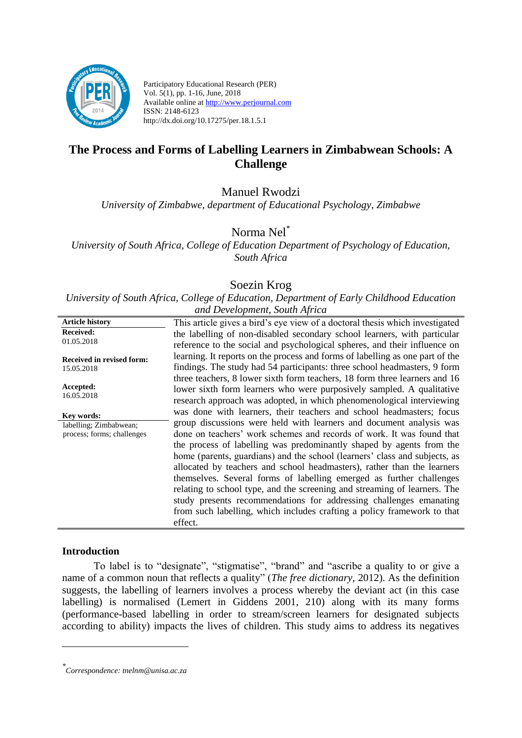

Participatory Educational Research (PER) Vol. 5(1), pp. 1-16, June, 2018 Available online at http://www.perjournal.com ISSN: 2148-6123 http://dx.doi.org/10.17275/per.18.1.5.1

# **The Process and Forms of Labelling Learners in Zimbabwean Schools: A Challenge**

Manuel Rwodzi

*University of Zimbabwe, department of Educational Psychology, Zimbabwe*

Norma Nel\*

*University of South Africa, College of Education Department of Psychology of Education, South Africa*

# Soezin Krog

*University of South Africa, College of Education, Department of Early Childhood Education and Development, South Africa*

| <b>Article history</b>           | This article gives a bird's eye view of a doctoral thesis which investigated  |
|----------------------------------|-------------------------------------------------------------------------------|
| <b>Received:</b><br>01.05.2018   | the labelling of non-disabled secondary school learners, with particular      |
|                                  | reference to the social and psychological spheres, and their influence on     |
| <b>Received in revised form:</b> | learning. It reports on the process and forms of labelling as one part of the |
| 15.05.2018                       | findings. The study had 54 participants: three school headmasters, 9 form     |
|                                  | three teachers, 8 lower sixth form teachers, 18 form three learners and 16    |
| Accepted:                        | lower sixth form learners who were purposively sampled. A qualitative         |
| 16.05.2018                       | research approach was adopted, in which phenomenological interviewing         |
| Key words:                       | was done with learners, their teachers and school headmasters; focus          |
| labelling; Zimbabwean;           | group discussions were held with learners and document analysis was           |
| process; forms; challenges       | done on teachers' work schemes and records of work. It was found that         |
|                                  | the process of labelling was predominantly shaped by agents from the          |
|                                  | home (parents, guardians) and the school (learners' class and subjects, as    |
|                                  | allocated by teachers and school headmasters), rather than the learners       |
|                                  | themselves. Several forms of labelling emerged as further challenges          |
|                                  | relating to school type, and the screening and streaming of learners. The     |
|                                  | study presents recommendations for addressing challenges emanating            |
|                                  | from such labelling, which includes crafting a policy framework to that       |
|                                  | effect.                                                                       |

# **Introduction**

<u>.</u>

To label is to "designate", "stigmatise", "brand" and "ascribe a quality to or give a name of a common noun that reflects a quality" (*The free dictionary*, 2012). As the definition suggests, the labelling of learners involves a process whereby the deviant act (in this case labelling) is normalised (Lemert in Giddens 2001, 210) along with its many forms (performance-based labelling in order to stream/screen learners for designated subjects according to ability) impacts the lives of children. This study aims to address its negatives

*<sup>\*</sup> Correspondence: tnelnm@unisa.ac.za*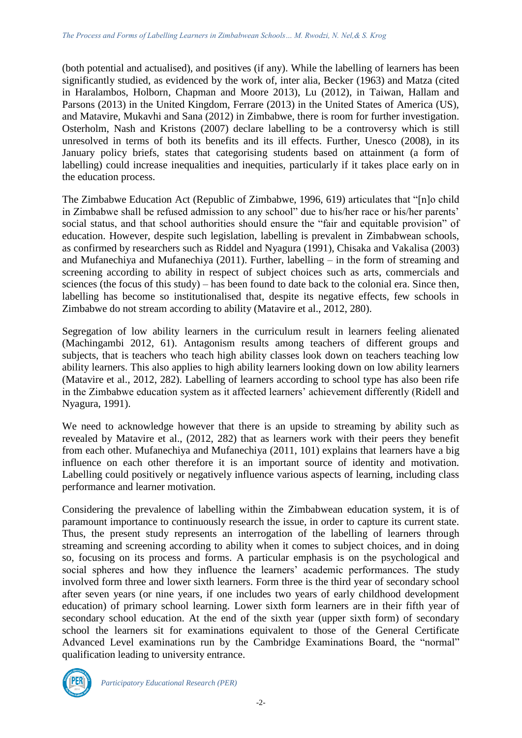(both potential and actualised), and positives (if any). While the labelling of learners has been significantly studied, as evidenced by the work of, inter alia, Becker (1963) and Matza (cited in Haralambos, Holborn, Chapman and Moore 2013), Lu (2012), in Taiwan, Hallam and Parsons (2013) in the United Kingdom, Ferrare (2013) in the United States of America (US), and Matavire, Mukavhi and Sana (2012) in Zimbabwe, there is room for further investigation. Osterholm, Nash and Kristons (2007) declare labelling to be a controversy which is still unresolved in terms of both its benefits and its ill effects. Further, Unesco (2008), in its January policy briefs, states that categorising students based on attainment (a form of labelling) could increase inequalities and inequities, particularly if it takes place early on in the education process.

The Zimbabwe Education Act (Republic of Zimbabwe, 1996, 619) articulates that "[n]o child in Zimbabwe shall be refused admission to any school" due to his/her race or his/her parents' social status, and that school authorities should ensure the "fair and equitable provision" of education. However, despite such legislation, labelling is prevalent in Zimbabwean schools, as confirmed by researchers such as Riddel and Nyagura (1991), Chisaka and Vakalisa (2003) and Mufanechiya and Mufanechiya (2011). Further, labelling – in the form of streaming and screening according to ability in respect of subject choices such as arts, commercials and sciences (the focus of this study) – has been found to date back to the colonial era. Since then, labelling has become so institutionalised that, despite its negative effects, few schools in Zimbabwe do not stream according to ability (Matavire et al., 2012, 280).

Segregation of low ability learners in the curriculum result in learners feeling alienated (Machingambi 2012, 61). Antagonism results among teachers of different groups and subjects, that is teachers who teach high ability classes look down on teachers teaching low ability learners. This also applies to high ability learners looking down on low ability learners (Matavire et al., 2012, 282). Labelling of learners according to school type has also been rife in the Zimbabwe education system as it affected learners' achievement differently (Ridell and Nyagura, 1991).

We need to acknowledge however that there is an upside to streaming by ability such as revealed by Matavire et al., (2012, 282) that as learners work with their peers they benefit from each other. Mufanechiya and Mufanechiya (2011, 101) explains that learners have a big influence on each other therefore it is an important source of identity and motivation. Labelling could positively or negatively influence various aspects of learning, including class performance and learner motivation.

Considering the prevalence of labelling within the Zimbabwean education system, it is of paramount importance to continuously research the issue, in order to capture its current state. Thus, the present study represents an interrogation of the labelling of learners through streaming and screening according to ability when it comes to subject choices, and in doing so, focusing on its process and forms. A particular emphasis is on the psychological and social spheres and how they influence the learners' academic performances. The study involved form three and lower sixth learners. Form three is the third year of secondary school after seven years (or nine years, if one includes two years of early childhood development education) of primary school learning. Lower sixth form learners are in their fifth year of secondary school education. At the end of the sixth year (upper sixth form) of secondary school the learners sit for examinations equivalent to those of the General Certificate Advanced Level examinations run by the Cambridge Examinations Board, the "normal" qualification leading to university entrance.

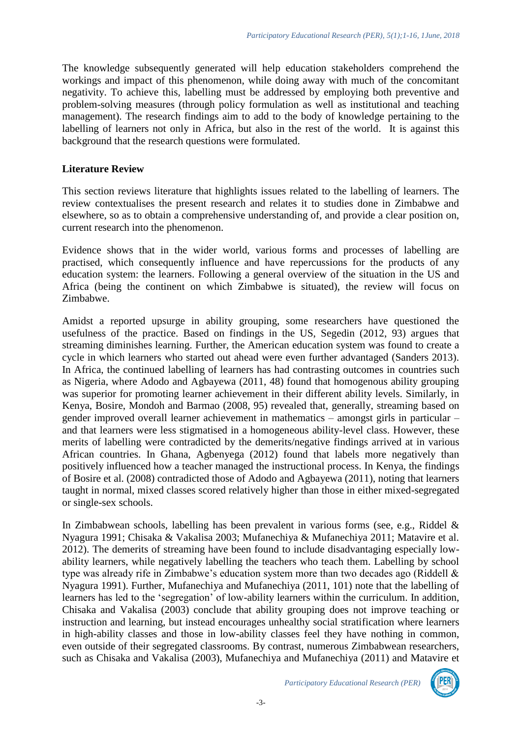The knowledge subsequently generated will help education stakeholders comprehend the workings and impact of this phenomenon, while doing away with much of the concomitant negativity. To achieve this, labelling must be addressed by employing both preventive and problem-solving measures (through policy formulation as well as institutional and teaching management). The research findings aim to add to the body of knowledge pertaining to the labelling of learners not only in Africa, but also in the rest of the world. It is against this background that the research questions were formulated.

#### **Literature Review**

This section reviews literature that highlights issues related to the labelling of learners. The review contextualises the present research and relates it to studies done in Zimbabwe and elsewhere, so as to obtain a comprehensive understanding of, and provide a clear position on, current research into the phenomenon.

Evidence shows that in the wider world, various forms and processes of labelling are practised, which consequently influence and have repercussions for the products of any education system: the learners. Following a general overview of the situation in the US and Africa (being the continent on which Zimbabwe is situated), the review will focus on Zimbabwe.

Amidst a reported upsurge in ability grouping, some researchers have questioned the usefulness of the practice. Based on findings in the US, Segedin (2012, 93) argues that streaming diminishes learning. Further, the American education system was found to create a cycle in which learners who started out ahead were even further advantaged (Sanders 2013). In Africa, the continued labelling of learners has had contrasting outcomes in countries such as Nigeria, where Adodo and Agbayewa (2011, 48) found that homogenous ability grouping was superior for promoting learner achievement in their different ability levels. Similarly, in Kenya, Bosire, Mondoh and Barmao (2008, 95) revealed that, generally, streaming based on gender improved overall learner achievement in mathematics – amongst girls in particular – and that learners were less stigmatised in a homogeneous ability-level class. However, these merits of labelling were contradicted by the demerits/negative findings arrived at in various African countries. In Ghana, Agbenyega (2012) found that labels more negatively than positively influenced how a teacher managed the instructional process. In Kenya, the findings of Bosire et al. (2008) contradicted those of Adodo and Agbayewa (2011), noting that learners taught in normal, mixed classes scored relatively higher than those in either mixed-segregated or single-sex schools.

In Zimbabwean schools, labelling has been prevalent in various forms (see, e.g., Riddel & Nyagura 1991; Chisaka & Vakalisa 2003; Mufanechiya & Mufanechiya 2011; Matavire et al. 2012). The demerits of streaming have been found to include disadvantaging especially lowability learners, while negatively labelling the teachers who teach them. Labelling by school type was already rife in Zimbabwe's education system more than two decades ago (Riddell & Nyagura 1991). Further, Mufanechiya and Mufanechiya (2011, 101) note that the labelling of learners has led to the 'segregation' of low-ability learners within the curriculum. In addition, Chisaka and Vakalisa (2003) conclude that ability grouping does not improve teaching or instruction and learning, but instead encourages unhealthy social stratification where learners in high-ability classes and those in low-ability classes feel they have nothing in common, even outside of their segregated classrooms. By contrast, numerous Zimbabwean researchers, such as Chisaka and Vakalisa (2003), Mufanechiya and Mufanechiya (2011) and Matavire et

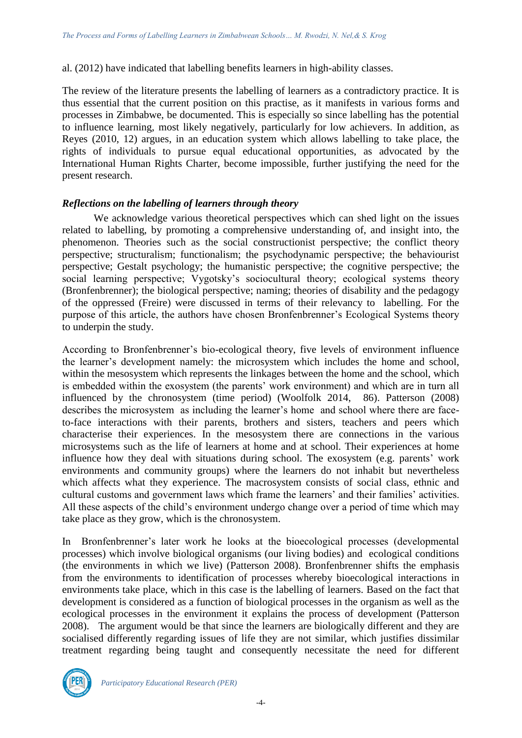al. (2012) have indicated that labelling benefits learners in high-ability classes.

The review of the literature presents the labelling of learners as a contradictory practice. It is thus essential that the current position on this practise, as it manifests in various forms and processes in Zimbabwe, be documented. This is especially so since labelling has the potential to influence learning, most likely negatively, particularly for low achievers. In addition, as Reyes (2010, 12) argues, in an education system which allows labelling to take place, the rights of individuals to pursue equal educational opportunities, as advocated by the International Human Rights Charter, become impossible, further justifying the need for the present research.

## *Reflections on the labelling of learners through theory*

We acknowledge various theoretical perspectives which can shed light on the issues related to labelling, by promoting a comprehensive understanding of, and insight into, the phenomenon. Theories such as the social constructionist perspective; the conflict theory perspective; structuralism; functionalism; the psychodynamic perspective; the behaviourist perspective; Gestalt psychology; the humanistic perspective; the cognitive perspective; the social learning perspective; Vygotsky's sociocultural theory; ecological systems theory (Bronfenbrenner); the biological perspective; naming; theories of disability and the pedagogy of the oppressed (Freire) were discussed in terms of their relevancy to labelling. For the purpose of this article, the authors have chosen Bronfenbrenner's Ecological Systems theory to underpin the study.

According to Bronfenbrenner's bio-ecological theory, five levels of environment influence the learner's development namely: the microsystem which includes the home and school, within the mesosystem which represents the linkages between the home and the school, which is embedded within the exosystem (the parents' work environment) and which are in turn all influenced by the chronosystem (time period) (Woolfolk 2014, 86). Patterson (2008) describes the microsystem as including the learner's home and school where there are faceto-face interactions with their parents, brothers and sisters, teachers and peers which characterise their experiences. In the mesosystem there are connections in the various microsystems such as the life of learners at home and at school. Their experiences at home influence how they deal with situations during school. The exosystem (e.g. parents' work environments and community groups) where the learners do not inhabit but nevertheless which affects what they experience. The macrosystem consists of social class, ethnic and cultural customs and government laws which frame the learners' and their families' activities. All these aspects of the child's environment undergo change over a period of time which may take place as they grow, which is the chronosystem.

In Bronfenbrenner's later work he looks at the bioecological processes (developmental processes) which involve biological organisms (our living bodies) and ecological conditions (the environments in which we live) (Patterson 2008). Bronfenbrenner shifts the emphasis from the environments to identification of processes whereby bioecological interactions in environments take place, which in this case is the labelling of learners. Based on the fact that development is considered as a function of biological processes in the organism as well as the ecological processes in the environment it explains the process of development (Patterson 2008). The argument would be that since the learners are biologically different and they are socialised differently regarding issues of life they are not similar, which justifies dissimilar treatment regarding being taught and consequently necessitate the need for different

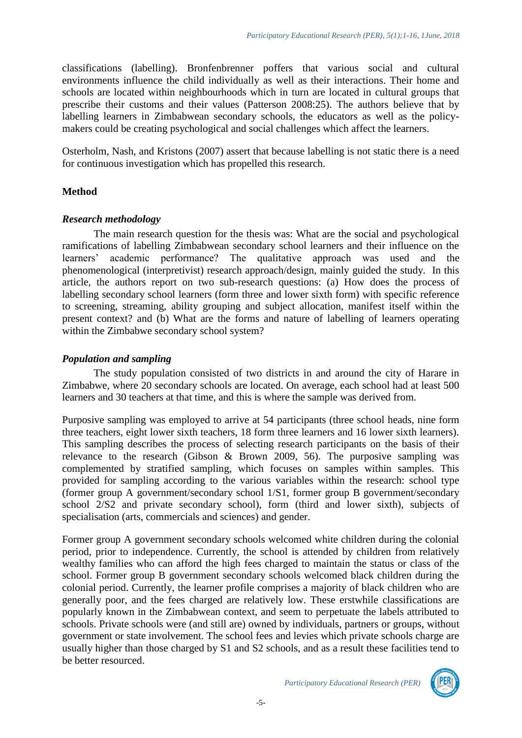classifications (labelling). Bronfenbrenner poffers that various social and cultural environments influence the child individually as well as their interactions. Their home and schools are located within neighbourhoods which in turn are located in cultural groups that prescribe their customs and their values (Patterson 2008:25). The authors believe that by labelling learners in Zimbabwean secondary schools, the educators as well as the policymakers could be creating psychological and social challenges which affect the learners.

Osterholm, Nash, and Kristons (2007) assert that because labelling is not static there is a need for continuous investigation which has propelled this research.

#### **Method**

#### *Research methodology*

The main research question for the thesis was: What are the social and psychological ramifications of labelling Zimbabwean secondary school learners and their influence on the learners' academic performance? The qualitative approach was used and the phenomenological (interpretivist) research approach/design, mainly guided the study. In this article, the authors report on two sub-research questions: (a) How does the process of labelling secondary school learners (form three and lower sixth form) with specific reference to screening, streaming, ability grouping and subject allocation, manifest itself within the present context? and (b) What are the forms and nature of labelling of learners operating within the Zimbabwe secondary school system?

# *Population and sampling*

The study population consisted of two districts in and around the city of Harare in Zimbabwe, where 20 secondary schools are located. On average, each school had at least 500 learners and 30 teachers at that time, and this is where the sample was derived from.

Purposive sampling was employed to arrive at 54 participants (three school heads, nine form three teachers, eight lower sixth teachers, 18 form three learners and 16 lower sixth learners). This sampling describes the process of selecting research participants on the basis of their relevance to the research (Gibson & Brown 2009, 56). The purposive sampling was complemented by stratified sampling, which focuses on samples within samples. This provided for sampling according to the various variables within the research: school type (former group A government/secondary school 1/S1, former group B government/secondary school 2/S2 and private secondary school), form (third and lower sixth), subjects of specialisation (arts, commercials and sciences) and gender.

Former group A government secondary schools welcomed white children during the colonial period, prior to independence. Currently, the school is attended by children from relatively wealthy families who can afford the high fees charged to maintain the status or class of the school. Former group B government secondary schools welcomed black children during the colonial period. Currently, the learner profile comprises a majority of black children who are generally poor, and the fees charged are relatively low. These erstwhile classifications are popularly known in the Zimbabwean context, and seem to perpetuate the labels attributed to schools. Private schools were (and still are) owned by individuals, partners or groups, without government or state involvement. The school fees and levies which private schools charge are usually higher than those charged by S1 and S2 schools, and as a result these facilities tend to be better resourced.

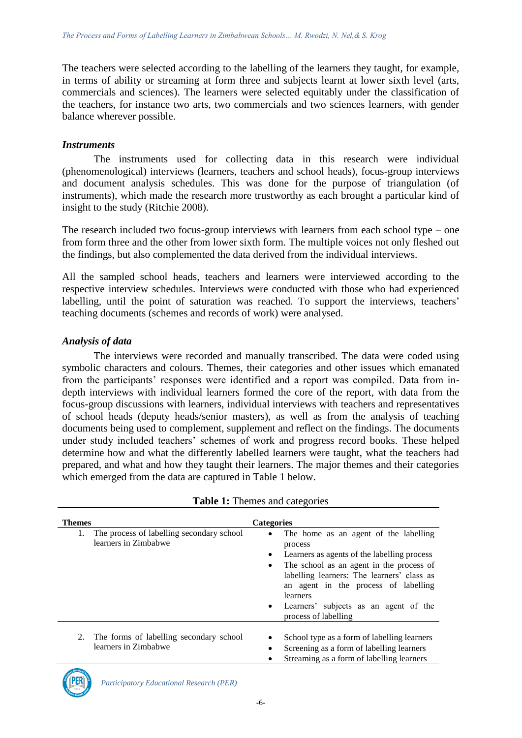The teachers were selected according to the labelling of the learners they taught, for example, in terms of ability or streaming at form three and subjects learnt at lower sixth level (arts, commercials and sciences). The learners were selected equitably under the classification of the teachers, for instance two arts, two commercials and two sciences learners, with gender balance wherever possible.

#### *Instruments*

The instruments used for collecting data in this research were individual (phenomenological) interviews (learners, teachers and school heads), focus-group interviews and document analysis schedules. This was done for the purpose of triangulation (of instruments), which made the research more trustworthy as each brought a particular kind of insight to the study (Ritchie 2008).

The research included two focus-group interviews with learners from each school type – one from form three and the other from lower sixth form. The multiple voices not only fleshed out the findings, but also complemented the data derived from the individual interviews.

All the sampled school heads, teachers and learners were interviewed according to the respective interview schedules. Interviews were conducted with those who had experienced labelling, until the point of saturation was reached. To support the interviews, teachers' teaching documents (schemes and records of work) were analysed.

## *Analysis of data*

The interviews were recorded and manually transcribed. The data were coded using symbolic characters and colours. Themes, their categories and other issues which emanated from the participants' responses were identified and a report was compiled. Data from indepth interviews with individual learners formed the core of the report, with data from the focus-group discussions with learners, individual interviews with teachers and representatives of school heads (deputy heads/senior masters), as well as from the analysis of teaching documents being used to complement, supplement and reflect on the findings. The documents under study included teachers' schemes of work and progress record books. These helped determine how and what the differently labelled learners were taught, what the teachers had prepared, and what and how they taught their learners. The major themes and their categories which emerged from the data are captured in Table 1 below.

| Themes |                                                                   | <b>Categories</b>                                                                                                                                                                                                                                                                                                                                     |
|--------|-------------------------------------------------------------------|-------------------------------------------------------------------------------------------------------------------------------------------------------------------------------------------------------------------------------------------------------------------------------------------------------------------------------------------------------|
| 1.     | The process of labelling secondary school<br>learners in Zimbabwe | The home as an agent of the labelling<br>$\bullet$<br>process<br>Learners as agents of the labelling process<br>$\bullet$<br>The school as an agent in the process of<br>labelling learners: The learners' class as<br>an agent in the process of labelling<br>learners<br>Learners' subjects as an agent of the<br>$\bullet$<br>process of labelling |
| 2.     | The forms of labelling secondary school<br>learners in Zimbabwe   | School type as a form of labelling learners<br>Screening as a form of labelling learners<br>Streaming as a form of labelling learners                                                                                                                                                                                                                 |



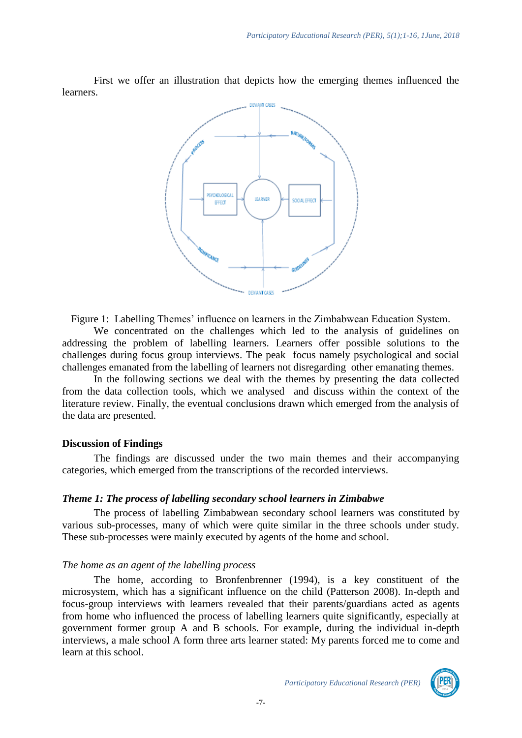First we offer an illustration that depicts how the emerging themes influenced the learners.



Figure 1: Labelling Themes' influence on learners in the Zimbabwean Education System.

We concentrated on the challenges which led to the analysis of guidelines on addressing the problem of labelling learners. Learners offer possible solutions to the challenges during focus group interviews. The peak focus namely psychological and social challenges emanated from the labelling of learners not disregarding other emanating themes.

In the following sections we deal with the themes by presenting the data collected from the data collection tools, which we analysed and discuss within the context of the literature review. Finally, the eventual conclusions drawn which emerged from the analysis of the data are presented.

#### **Discussion of Findings**

The findings are discussed under the two main themes and their accompanying categories, which emerged from the transcriptions of the recorded interviews.

#### *Theme 1: The process of labelling secondary school learners in Zimbabwe*

The process of labelling Zimbabwean secondary school learners was constituted by various sub-processes, many of which were quite similar in the three schools under study. These sub-processes were mainly executed by agents of the home and school.

#### *The home as an agent of the labelling process*

The home, according to Bronfenbrenner (1994), is a key constituent of the microsystem, which has a significant influence on the child (Patterson 2008). In-depth and focus-group interviews with learners revealed that their parents/guardians acted as agents from home who influenced the process of labelling learners quite significantly, especially at government former group A and B schools. For example, during the individual in-depth interviews, a male school A form three arts learner stated: My parents forced me to come and learn at this school.

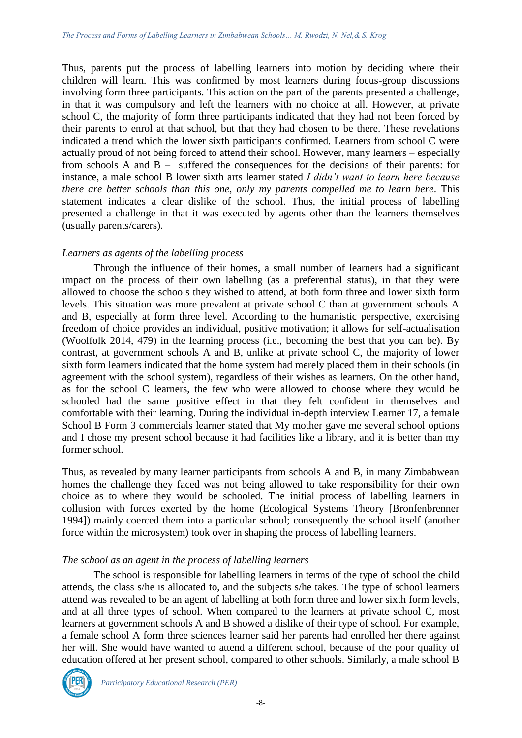Thus, parents put the process of labelling learners into motion by deciding where their children will learn. This was confirmed by most learners during focus-group discussions involving form three participants. This action on the part of the parents presented a challenge, in that it was compulsory and left the learners with no choice at all. However, at private school C, the majority of form three participants indicated that they had not been forced by their parents to enrol at that school, but that they had chosen to be there. These revelations indicated a trend which the lower sixth participants confirmed. Learners from school C were actually proud of not being forced to attend their school. However, many learners – especially from schools A and B – suffered the consequences for the decisions of their parents: for instance, a male school B lower sixth arts learner stated *I didn't want to learn here because there are better schools than this one, only my parents compelled me to learn here*. This statement indicates a clear dislike of the school. Thus, the initial process of labelling presented a challenge in that it was executed by agents other than the learners themselves (usually parents/carers).

#### *Learners as agents of the labelling process*

Through the influence of their homes, a small number of learners had a significant impact on the process of their own labelling (as a preferential status), in that they were allowed to choose the schools they wished to attend, at both form three and lower sixth form levels. This situation was more prevalent at private school C than at government schools A and B, especially at form three level. According to the humanistic perspective, exercising freedom of choice provides an individual, positive motivation; it allows for self-actualisation (Woolfolk 2014, 479) in the learning process (i.e., becoming the best that you can be). By contrast, at government schools A and B, unlike at private school C, the majority of lower sixth form learners indicated that the home system had merely placed them in their schools (in agreement with the school system), regardless of their wishes as learners. On the other hand, as for the school C learners, the few who were allowed to choose where they would be schooled had the same positive effect in that they felt confident in themselves and comfortable with their learning. During the individual in-depth interview Learner 17, a female School B Form 3 commercials learner stated that My mother gave me several school options and I chose my present school because it had facilities like a library, and it is better than my former school.

Thus, as revealed by many learner participants from schools A and B, in many Zimbabwean homes the challenge they faced was not being allowed to take responsibility for their own choice as to where they would be schooled. The initial process of labelling learners in collusion with forces exerted by the home (Ecological Systems Theory [Bronfenbrenner 1994]) mainly coerced them into a particular school; consequently the school itself (another force within the microsystem) took over in shaping the process of labelling learners.

#### *The school as an agent in the process of labelling learners*

The school is responsible for labelling learners in terms of the type of school the child attends, the class s/he is allocated to, and the subjects s/he takes. The type of school learners attend was revealed to be an agent of labelling at both form three and lower sixth form levels, and at all three types of school. When compared to the learners at private school C, most learners at government schools A and B showed a dislike of their type of school. For example, a female school A form three sciences learner said her parents had enrolled her there against her will. She would have wanted to attend a different school, because of the poor quality of education offered at her present school, compared to other schools. Similarly, a male school B

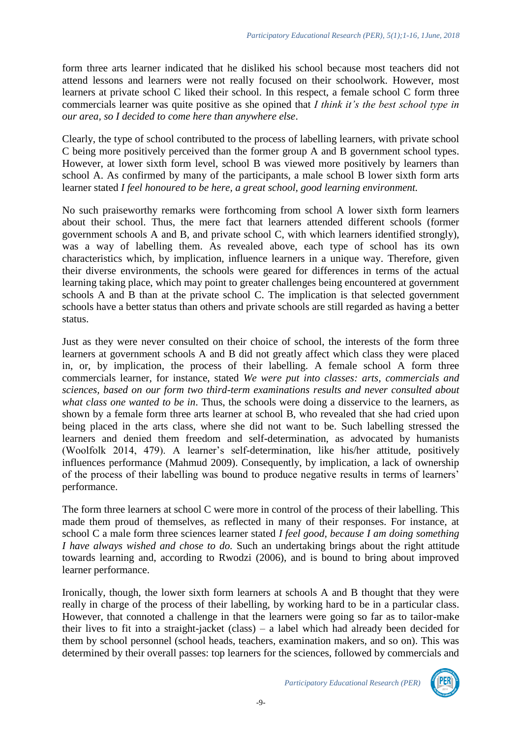form three arts learner indicated that he disliked his school because most teachers did not attend lessons and learners were not really focused on their schoolwork. However, most learners at private school C liked their school. In this respect, a female school C form three commercials learner was quite positive as she opined that *I think it's the best school type in our area, so I decided to come here than anywhere else*.

Clearly, the type of school contributed to the process of labelling learners, with private school C being more positively perceived than the former group A and B government school types. However, at lower sixth form level, school B was viewed more positively by learners than school A. As confirmed by many of the participants, a male school B lower sixth form arts learner stated *I feel honoured to be here, a great school, good learning environment.*

No such praiseworthy remarks were forthcoming from school A lower sixth form learners about their school. Thus, the mere fact that learners attended different schools (former government schools A and B, and private school C, with which learners identified strongly), was a way of labelling them. As revealed above, each type of school has its own characteristics which, by implication, influence learners in a unique way. Therefore, given their diverse environments, the schools were geared for differences in terms of the actual learning taking place, which may point to greater challenges being encountered at government schools A and B than at the private school C. The implication is that selected government schools have a better status than others and private schools are still regarded as having a better status.

Just as they were never consulted on their choice of school, the interests of the form three learners at government schools A and B did not greatly affect which class they were placed in, or, by implication, the process of their labelling. A female school A form three commercials learner, for instance, stated *We were put into classes: arts, commercials and sciences, based on our form two third-term examinations results and never consulted about what class one wanted to be in*. Thus, the schools were doing a disservice to the learners, as shown by a female form three arts learner at school B, who revealed that she had cried upon being placed in the arts class, where she did not want to be. Such labelling stressed the learners and denied them freedom and self-determination, as advocated by humanists (Woolfolk 2014, 479). A learner's self-determination, like his/her attitude, positively influences performance (Mahmud 2009). Consequently, by implication, a lack of ownership of the process of their labelling was bound to produce negative results in terms of learners' performance.

The form three learners at school C were more in control of the process of their labelling. This made them proud of themselves, as reflected in many of their responses. For instance, at school C a male form three sciences learner stated *I feel good, because I am doing something I have always wished and chose to do.* Such an undertaking brings about the right attitude towards learning and, according to Rwodzi (2006), and is bound to bring about improved learner performance.

Ironically, though, the lower sixth form learners at schools A and B thought that they were really in charge of the process of their labelling, by working hard to be in a particular class. However, that connoted a challenge in that the learners were going so far as to tailor-make their lives to fit into a straight-jacket (class) – a label which had already been decided for them by school personnel (school heads, teachers, examination makers, and so on). This was determined by their overall passes: top learners for the sciences, followed by commercials and

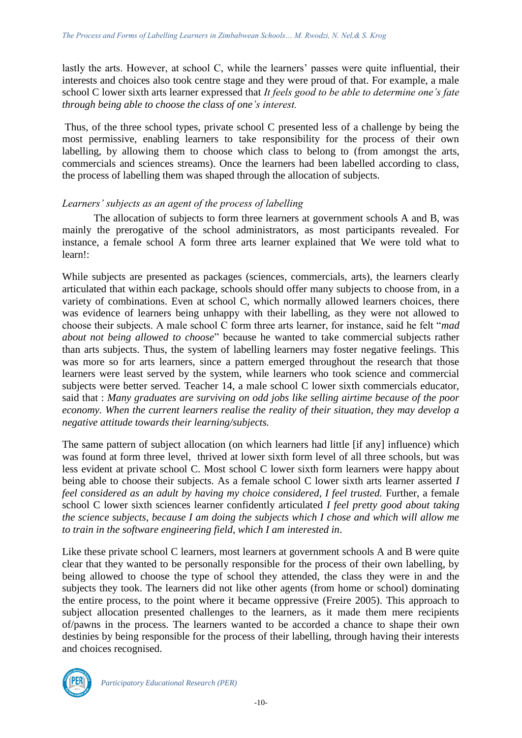lastly the arts. However, at school C, while the learners' passes were quite influential, their interests and choices also took centre stage and they were proud of that. For example, a male school C lower sixth arts learner expressed that *It feels good to be able to determine one's fate through being able to choose the class of one's interest.*

Thus, of the three school types, private school C presented less of a challenge by being the most permissive, enabling learners to take responsibility for the process of their own labelling, by allowing them to choose which class to belong to (from amongst the arts, commercials and sciences streams). Once the learners had been labelled according to class, the process of labelling them was shaped through the allocation of subjects.

## *Learners' subjects as an agent of the process of labelling*

The allocation of subjects to form three learners at government schools A and B, was mainly the prerogative of the school administrators, as most participants revealed. For instance, a female school A form three arts learner explained that We were told what to learn!:

While subjects are presented as packages (sciences, commercials, arts), the learners clearly articulated that within each package, schools should offer many subjects to choose from, in a variety of combinations. Even at school C, which normally allowed learners choices, there was evidence of learners being unhappy with their labelling, as they were not allowed to choose their subjects. A male school C form three arts learner, for instance, said he felt "*mad about not being allowed to choose*" because he wanted to take commercial subjects rather than arts subjects. Thus, the system of labelling learners may foster negative feelings. This was more so for arts learners, since a pattern emerged throughout the research that those learners were least served by the system, while learners who took science and commercial subjects were better served. Teacher 14, a male school C lower sixth commercials educator, said that : *Many graduates are surviving on odd jobs like selling airtime because of the poor economy. When the current learners realise the reality of their situation, they may develop a negative attitude towards their learning/subjects.*

The same pattern of subject allocation (on which learners had little [if any] influence) which was found at form three level, thrived at lower sixth form level of all three schools, but was less evident at private school C. Most school C lower sixth form learners were happy about being able to choose their subjects. As a female school C lower sixth arts learner asserted *I feel considered as an adult by having my choice considered, I feel trusted. Further, a female* school C lower sixth sciences learner confidently articulated *I feel pretty good about taking the science subjects, because I am doing the subjects which I chose and which will allow me to train in the software engineering field, which I am interested in*.

Like these private school C learners, most learners at government schools A and B were quite clear that they wanted to be personally responsible for the process of their own labelling, by being allowed to choose the type of school they attended, the class they were in and the subjects they took. The learners did not like other agents (from home or school) dominating the entire process, to the point where it became oppressive (Freire 2005). This approach to subject allocation presented challenges to the learners, as it made them mere recipients of/pawns in the process. The learners wanted to be accorded a chance to shape their own destinies by being responsible for the process of their labelling, through having their interests and choices recognised.

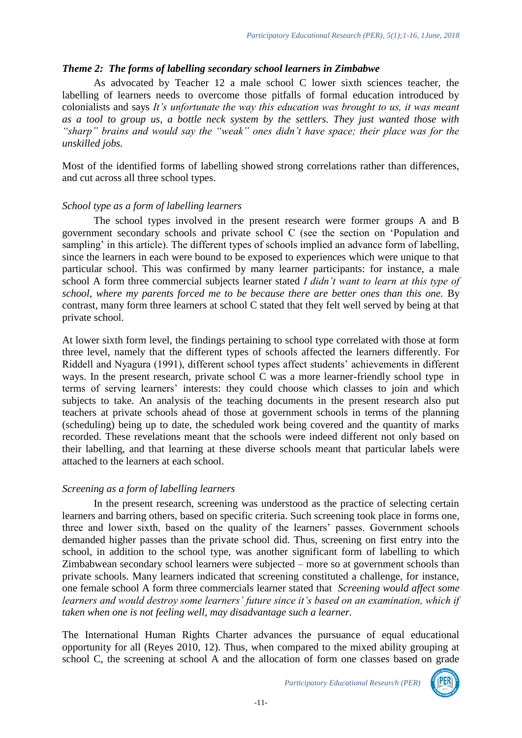# *Theme 2: The forms of labelling secondary school learners in Zimbabwe*

As advocated by Teacher 12 a male school C lower sixth sciences teacher, the labelling of learners needs to overcome those pitfalls of formal education introduced by colonialists and says *It's unfortunate the way this education was brought to us, it was meant as a tool to group us, a bottle neck system by the settlers. They just wanted those with "sharp" brains and would say the "weak" ones didn't have space; their place was for the unskilled jobs.* 

Most of the identified forms of labelling showed strong correlations rather than differences, and cut across all three school types.

## *School type as a form of labelling learners*

The school types involved in the present research were former groups A and B government secondary schools and private school C (see the section on 'Population and sampling' in this article). The different types of schools implied an advance form of labelling, since the learners in each were bound to be exposed to experiences which were unique to that particular school. This was confirmed by many learner participants: for instance, a male school A form three commercial subjects learner stated *I didn't want to learn at this type of school, where my parents forced me to be because there are better ones than this one.* By contrast, many form three learners at school C stated that they felt well served by being at that private school.

At lower sixth form level, the findings pertaining to school type correlated with those at form three level, namely that the different types of schools affected the learners differently. For Riddell and Nyagura (1991), different school types affect students' achievements in different ways. In the present research, private school C was a more learner-friendly school type in terms of serving learners' interests: they could choose which classes to join and which subjects to take. An analysis of the teaching documents in the present research also put teachers at private schools ahead of those at government schools in terms of the planning (scheduling) being up to date, the scheduled work being covered and the quantity of marks recorded. These revelations meant that the schools were indeed different not only based on their labelling, and that learning at these diverse schools meant that particular labels were attached to the learners at each school.

#### *Screening as a form of labelling learners*

In the present research, screening was understood as the practice of selecting certain learners and barring others, based on specific criteria. Such screening took place in forms one, three and lower sixth, based on the quality of the learners' passes. Government schools demanded higher passes than the private school did. Thus, screening on first entry into the school, in addition to the school type, was another significant form of labelling to which Zimbabwean secondary school learners were subjected – more so at government schools than private schools. Many learners indicated that screening constituted a challenge, for instance, one female school A form three commercials learner stated that *Screening would affect some learners and would destroy some learners' future since it's based on an examination, which if taken when one is not feeling well, may disadvantage such a learner.*

The International Human Rights Charter advances the pursuance of equal educational opportunity for all (Reyes 2010, 12). Thus, when compared to the mixed ability grouping at school C, the screening at school A and the allocation of form one classes based on grade

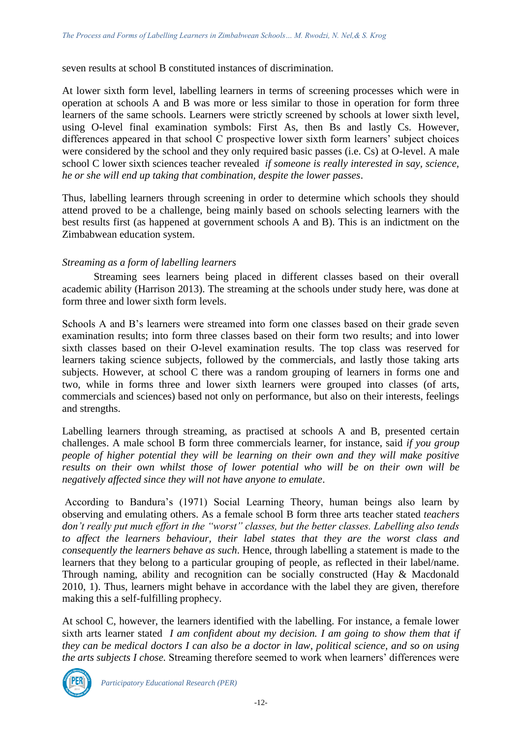seven results at school B constituted instances of discrimination.

At lower sixth form level, labelling learners in terms of screening processes which were in operation at schools A and B was more or less similar to those in operation for form three learners of the same schools. Learners were strictly screened by schools at lower sixth level, using O-level final examination symbols: First As, then Bs and lastly Cs. However, differences appeared in that school C prospective lower sixth form learners' subject choices were considered by the school and they only required basic passes (i.e. Cs) at O-level. A male school C lower sixth sciences teacher revealed *if someone is really interested in say, science, he or she will end up taking that combination, despite the lower passes*.

Thus, labelling learners through screening in order to determine which schools they should attend proved to be a challenge, being mainly based on schools selecting learners with the best results first (as happened at government schools A and B). This is an indictment on the Zimbabwean education system.

## *Streaming as a form of labelling learners*

Streaming sees learners being placed in different classes based on their overall academic ability (Harrison 2013). The streaming at the schools under study here, was done at form three and lower sixth form levels.

Schools A and B's learners were streamed into form one classes based on their grade seven examination results; into form three classes based on their form two results; and into lower sixth classes based on their O-level examination results. The top class was reserved for learners taking science subjects, followed by the commercials, and lastly those taking arts subjects. However, at school C there was a random grouping of learners in forms one and two, while in forms three and lower sixth learners were grouped into classes (of arts, commercials and sciences) based not only on performance, but also on their interests, feelings and strengths.

Labelling learners through streaming, as practised at schools A and B, presented certain challenges. A male school B form three commercials learner, for instance, said *if you group people of higher potential they will be learning on their own and they will make positive results on their own whilst those of lower potential who will be on their own will be negatively affected since they will not have anyone to emulate*.

According to Bandura's (1971) Social Learning Theory, human beings also learn by observing and emulating others. As a female school B form three arts teacher stated *teachers don't really put much effort in the "worst" classes, but the better classes. Labelling also tends to affect the learners behaviour, their label states that they are the worst class and consequently the learners behave as such*. Hence, through labelling a statement is made to the learners that they belong to a particular grouping of people, as reflected in their label/name. Through naming, ability and recognition can be socially constructed (Hay & Macdonald 2010, 1). Thus, learners might behave in accordance with the label they are given, therefore making this a self-fulfilling prophecy.

At school C, however, the learners identified with the labelling. For instance, a female lower sixth arts learner stated *I am confident about my decision. I am going to show them that if they can be medical doctors I can also be a doctor in law, political science, and so on using the arts subjects I chose.* Streaming therefore seemed to work when learners' differences were



*Participatory Educational Research (PER)*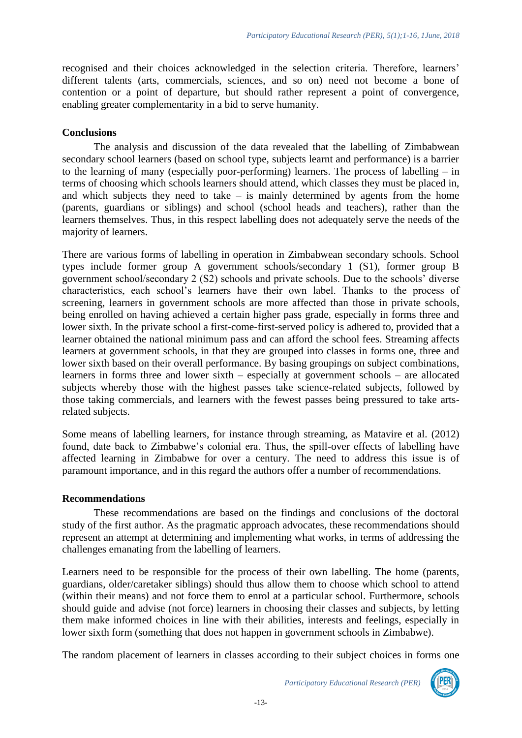recognised and their choices acknowledged in the selection criteria. Therefore, learners' different talents (arts, commercials, sciences, and so on) need not become a bone of contention or a point of departure, but should rather represent a point of convergence, enabling greater complementarity in a bid to serve humanity.

#### **Conclusions**

The analysis and discussion of the data revealed that the labelling of Zimbabwean secondary school learners (based on school type, subjects learnt and performance) is a barrier to the learning of many (especially poor-performing) learners. The process of labelling – in terms of choosing which schools learners should attend, which classes they must be placed in, and which subjects they need to take  $-$  is mainly determined by agents from the home (parents, guardians or siblings) and school (school heads and teachers), rather than the learners themselves. Thus, in this respect labelling does not adequately serve the needs of the majority of learners.

There are various forms of labelling in operation in Zimbabwean secondary schools. School types include former group A government schools/secondary 1 (S1), former group B government school/secondary 2 (S2) schools and private schools. Due to the schools' diverse characteristics, each school's learners have their own label. Thanks to the process of screening, learners in government schools are more affected than those in private schools, being enrolled on having achieved a certain higher pass grade, especially in forms three and lower sixth. In the private school a first-come-first-served policy is adhered to, provided that a learner obtained the national minimum pass and can afford the school fees. Streaming affects learners at government schools, in that they are grouped into classes in forms one, three and lower sixth based on their overall performance. By basing groupings on subject combinations, learners in forms three and lower sixth – especially at government schools – are allocated subjects whereby those with the highest passes take science-related subjects, followed by those taking commercials, and learners with the fewest passes being pressured to take artsrelated subjects.

Some means of labelling learners, for instance through streaming, as Matavire et al*.* (2012) found, date back to Zimbabwe's colonial era. Thus, the spill-over effects of labelling have affected learning in Zimbabwe for over a century. The need to address this issue is of paramount importance, and in this regard the authors offer a number of recommendations.

#### **Recommendations**

These recommendations are based on the findings and conclusions of the doctoral study of the first author. As the pragmatic approach advocates, these recommendations should represent an attempt at determining and implementing what works, in terms of addressing the challenges emanating from the labelling of learners.

Learners need to be responsible for the process of their own labelling. The home (parents, guardians, older/caretaker siblings) should thus allow them to choose which school to attend (within their means) and not force them to enrol at a particular school. Furthermore, schools should guide and advise (not force) learners in choosing their classes and subjects, by letting them make informed choices in line with their abilities, interests and feelings, especially in lower sixth form (something that does not happen in government schools in Zimbabwe).

The random placement of learners in classes according to their subject choices in forms one



*Participatory Educational Research (PER)*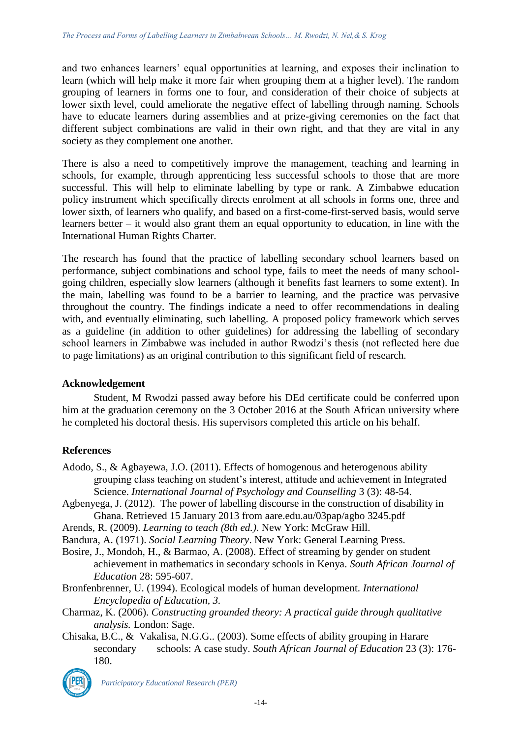and two enhances learners' equal opportunities at learning, and exposes their inclination to learn (which will help make it more fair when grouping them at a higher level). The random grouping of learners in forms one to four, and consideration of their choice of subjects at lower sixth level, could ameliorate the negative effect of labelling through naming. Schools have to educate learners during assemblies and at prize-giving ceremonies on the fact that different subject combinations are valid in their own right, and that they are vital in any society as they complement one another.

There is also a need to competitively improve the management, teaching and learning in schools, for example, through apprenticing less successful schools to those that are more successful. This will help to eliminate labelling by type or rank. A Zimbabwe education policy instrument which specifically directs enrolment at all schools in forms one, three and lower sixth, of learners who qualify, and based on a first-come-first-served basis, would serve learners better – it would also grant them an equal opportunity to education, in line with the International Human Rights Charter.

The research has found that the practice of labelling secondary school learners based on performance, subject combinations and school type, fails to meet the needs of many schoolgoing children, especially slow learners (although it benefits fast learners to some extent). In the main, labelling was found to be a barrier to learning, and the practice was pervasive throughout the country. The findings indicate a need to offer recommendations in dealing with, and eventually eliminating, such labelling. A proposed policy framework which serves as a guideline (in addition to other guidelines) for addressing the labelling of secondary school learners in Zimbabwe was included in author Rwodzi's thesis (not reflected here due to page limitations) as an original contribution to this significant field of research.

#### **Acknowledgement**

Student, M Rwodzi passed away before his DEd certificate could be conferred upon him at the graduation ceremony on the 3 October 2016 at the South African university where he completed his doctoral thesis. His supervisors completed this article on his behalf.

# **References**

- Adodo, S., & Agbayewa, J.O. (2011). Effects of homogenous and heterogenous ability grouping class teaching on student's interest, attitude and achievement in Integrated Science. *International Journal of Psychology and Counselling* 3 (3): 48-54.
- Agbenyega, J. (2012). The power of labelling discourse in the construction of disability in Ghana. Retrieved 15 January 2013 from aare.edu.au/03pap/agbo 3245.pdf
- Arends, R. (2009). *Learning to teach (8th ed.)*. New York: McGraw Hill.
- Bandura, A. (1971). *Social Learning Theory*. New York: General Learning Press.
- Bosire, J., Mondoh, H., & Barmao, A. (2008). Effect of streaming by gender on student achievement in mathematics in secondary schools in Kenya. *South African Journal of Education* 28: 595-607.
- Bronfenbrenner, U. (1994). Ecological models of human development. *International Encyclopedia of Education, 3.*
- Charmaz, K. (2006). *Constructing grounded theory: A practical guide through qualitative analysis.* London: Sage.
- Chisaka, B.C., & Vakalisa, N.G.G.. (2003). Some effects of ability grouping in Harare secondary schools: A case study. *South African Journal of Education* 23 (3): 176- 180.



*Participatory Educational Research (PER)*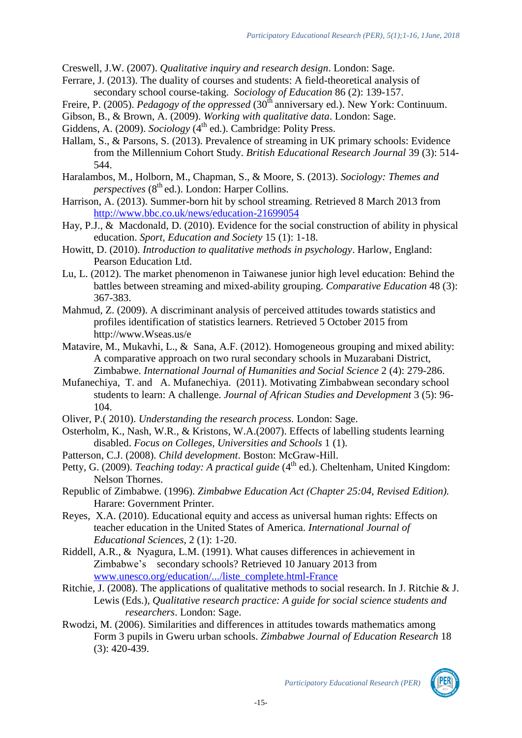Creswell, J.W. (2007). *Qualitative inquiry and research design*. London: Sage.

- Ferrare, J. (2013). The duality of courses and students: A field-theoretical analysis of secondary school course-taking. *Sociology of Education* 86 (2): 139-157.
- Freire, P. (2005). *Pedagogy of the oppressed* (30<sup>th</sup> anniversary ed.). New York: Continuum.
- Gibson, B., & Brown, A. (2009). *Working with qualitative data*. London: Sage.
- Giddens, A. (2009). *Sociology* (4<sup>th</sup> ed.). Cambridge: Polity Press.
- Hallam, S., & Parsons, S. (2013). Prevalence of streaming in UK primary schools: Evidence from the Millennium Cohort Study. *British Educational Research Journal* 39 (3): 514- 544.
- Haralambos, M., Holborn, M., Chapman, S., & Moore, S. (2013). *Sociology: Themes and*   $$
- Harrison, A. (2013). Summer-born hit by school streaming. Retrieved 8 March 2013 from <http://www.bbc.co.uk/news/education-21699054>
- Hay, P.J., & Macdonald, D. (2010). Evidence for the social construction of ability in physical education. *Sport, Education and Society* 15 (1): 1-18.
- Howitt, D. (2010). *Introduction to qualitative methods in psychology*. Harlow, England: Pearson Education Ltd.
- Lu, L. (2012). The market phenomenon in Taiwanese junior high level education: Behind the battles between streaming and mixed-ability grouping. *Comparative Education* 48 (3): 367-383.
- Mahmud, Z. (2009). A discriminant analysis of perceived attitudes towards statistics and profiles identification of statistics learners. Retrieved 5 October 2015 from http://www.Wseas.us/e
- Matavire, M., Mukavhi, L., & Sana, A.F. (2012). Homogeneous grouping and mixed ability: A comparative approach on two rural secondary schools in Muzarabani District, Zimbabwe. *International Journal of Humanities and Social Science* 2 (4): 279-286.
- Mufanechiya, T. and A. Mufanechiya. (2011). Motivating Zimbabwean secondary school students to learn: A challenge. *Journal of African Studies and Development* 3 (5): 96- 104.
- Oliver, P.( 2010). *Understanding the research process.* London: Sage.
- Osterholm, K., Nash, W.R., & Kristons, W.A.(2007). Effects of labelling students learning disabled. *Focus on Colleges, Universities and Schools* 1 (1).
- Patterson, C.J. (2008). *Child development*. Boston: McGraw-Hill.
- Petty, G. (2009). *Teaching today: A practical guide* (4<sup>th</sup> ed.). Cheltenham, United Kingdom: Nelson Thornes.
- Republic of Zimbabwe. (1996). *Zimbabwe Education Act (Chapter 25:04, Revised Edition).* Harare: Government Printer.
- Reyes, X.A. (2010). Educational equity and access as universal human rights: Effects on teacher education in the United States of America. *International Journal of Educational Sciences,* 2 (1): 1-20.
- Riddell, A.R., & Nyagura, L.M. (1991). What causes differences in achievement in Zimbabwe's secondary schools? Retrieved 10 January 2013 from [www.unesco.org/education/.../liste\\_complete.html-France](http://www.unesco.org/education/.../liste_complete.html-France)
- Ritchie, J. (2008). The applications of qualitative methods to social research. In J. Ritchie & J. Lewis (Eds.), *Qualitative research practice: A guide for social science students and researchers*. London: Sage.
- Rwodzi, M. (2006). Similarities and differences in attitudes towards mathematics among Form 3 pupils in Gweru urban schools. *Zimbabwe Journal of Education Research* 18 (3): 420-439.